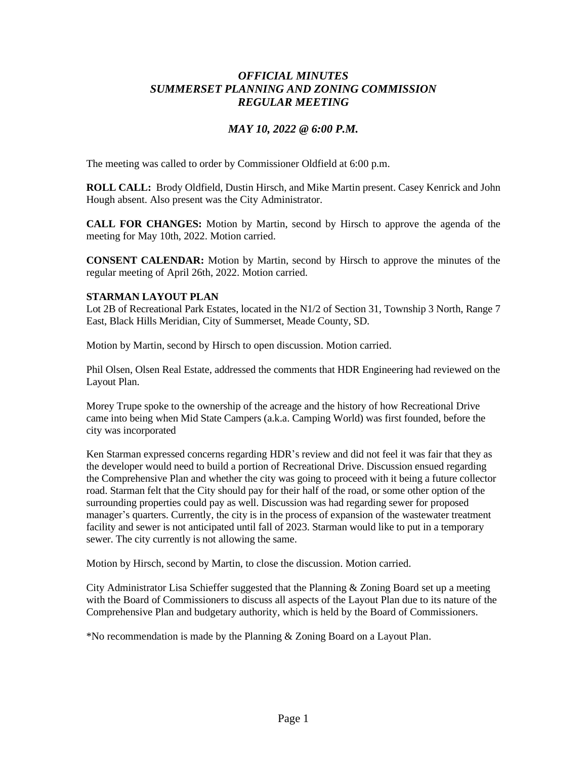# *OFFICIAL MINUTES SUMMERSET PLANNING AND ZONING COMMISSION REGULAR MEETING*

## *MAY 10, 2022 @ 6:00 P.M.*

The meeting was called to order by Commissioner Oldfield at 6:00 p.m.

**ROLL CALL:** Brody Oldfield, Dustin Hirsch, and Mike Martin present. Casey Kenrick and John Hough absent. Also present was the City Administrator.

**CALL FOR CHANGES:** Motion by Martin, second by Hirsch to approve the agenda of the meeting for May 10th, 2022. Motion carried.

**CONSENT CALENDAR:** Motion by Martin, second by Hirsch to approve the minutes of the regular meeting of April 26th, 2022. Motion carried.

#### **STARMAN LAYOUT PLAN**

Lot 2B of Recreational Park Estates, located in the N1/2 of Section 31, Township 3 North, Range 7 East, Black Hills Meridian, City of Summerset, Meade County, SD.

Motion by Martin, second by Hirsch to open discussion. Motion carried.

Phil Olsen, Olsen Real Estate, addressed the comments that HDR Engineering had reviewed on the Layout Plan.

Morey Trupe spoke to the ownership of the acreage and the history of how Recreational Drive came into being when Mid State Campers (a.k.a. Camping World) was first founded, before the city was incorporated

Ken Starman expressed concerns regarding HDR's review and did not feel it was fair that they as the developer would need to build a portion of Recreational Drive. Discussion ensued regarding the Comprehensive Plan and whether the city was going to proceed with it being a future collector road. Starman felt that the City should pay for their half of the road, or some other option of the surrounding properties could pay as well. Discussion was had regarding sewer for proposed manager's quarters. Currently, the city is in the process of expansion of the wastewater treatment facility and sewer is not anticipated until fall of 2023. Starman would like to put in a temporary sewer. The city currently is not allowing the same.

Motion by Hirsch, second by Martin, to close the discussion. Motion carried.

City Administrator Lisa Schieffer suggested that the Planning & Zoning Board set up a meeting with the Board of Commissioners to discuss all aspects of the Layout Plan due to its nature of the Comprehensive Plan and budgetary authority, which is held by the Board of Commissioners.

\*No recommendation is made by the Planning & Zoning Board on a Layout Plan.